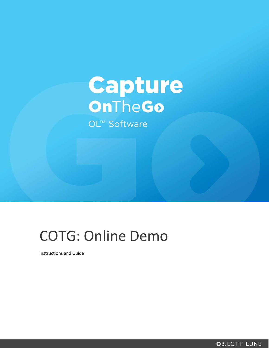# **Capture** OnTheGo

OL™ Software

# COTG: Online Demo

Instructions and Guide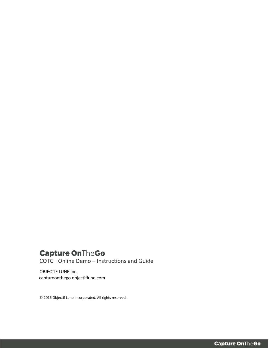## **Capture OnTheGo**

COTG : Online Demo – Instructions and Guide

OBJECTIF LUNE Inc. captureonthego.objectiflune.com

© 2016 Objectif Lune Incorporated. All rights reserved.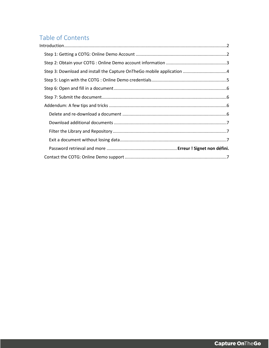### Table of Contents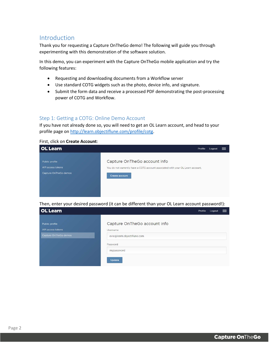#### <span id="page-3-0"></span>Introduction

Thank you for requesting a Capture OnTheGo demo! The following will guide you through experimenting with this demonstration of the software solution.

In this demo, you can experiment with the Capture OnTheGo mobile application and try the following features:

- Requesting and downloading documents from a Workflow server
- Use standard COTG widgets such as the photo, device info, and signature.
- Submit the form data and receive a processed PDF demonstrating the post-processing power of COTG and Workflow.

#### <span id="page-3-1"></span>Step 1: Getting a COTG: Online Demo Account

If you have not already done so, you will need to get an OL Learn account, and head to your profile page on [http://learn.objectiflune.com/profile/cotg.](http://learn.objectiflune.com/profile/cotg)

#### First, click on **Create Account**:

| <b>OL</b> Learn       | Profile<br>Logout<br>$=$                                                        |
|-----------------------|---------------------------------------------------------------------------------|
| Public profile        | Capture OnTheGo account info                                                    |
| API access tokens     | You do not currently have a COTG account associated with your OL Learn account. |
| Capture OnTheGo demos | Create account                                                                  |

Then, enter your desired password (it can be different than your OL Learn account password!):

<span id="page-3-2"></span>

| <b>OL</b> Learn       | Profile<br>Logout            | $=$ |
|-----------------------|------------------------------|-----|
| Public profile        | Capture OnTheGo account info |     |
| API access tokens     | Username                     |     |
| Capture OnTheGo demos | evie@learn.objectiflune.com  |     |
|                       | Password                     |     |
|                       | mypassword                   |     |
|                       | Update                       |     |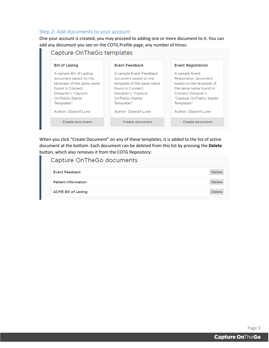#### Step 2: Add documents to your account

One your account is created, you may proceed to adding one or more document to it. You can add any document you see on the COTG Profile page, any number of times:

| <b>Bill of Lading</b>     | <b>Event Feedback</b>     | <b>Event Registration</b> |
|---------------------------|---------------------------|---------------------------|
| A sample Bill of Lading   | A sample Event Feedback   | A sample Event            |
| document based on the     | document based on the     | Registration document     |
| template of the same name | template of the same name | based on the template of  |
| found in Connect          | found in Connect          | the same name found in    |
| Designer's "Capture"      | Designer's "Capture"      | <b>Connect Designer's</b> |
| OnTheGo Starter           | OnTheGo Starter           | "Capture OnTheGo Starter  |
| Templates".               | Templates".               | Templates".               |
| Author: Objectif Lune     | Author: Objectif Lune     | Author: Objectif Lune     |
| Create document           | Create document           | Create document           |

When you click "Create Document" on any of these templates, it is added to the list of active document at the bottom. Each document can be deleted from this list by pressing the **Delete** button, which also removes it from the COTG Repository:

| Capture OnTheGo documents  |               |
|----------------------------|---------------|
| <b>Event Feedback</b>      | <b>Delete</b> |
| <b>Patient Information</b> | <b>Delete</b> |
| <b>ACME Bill of Lading</b> | <b>Delete</b> |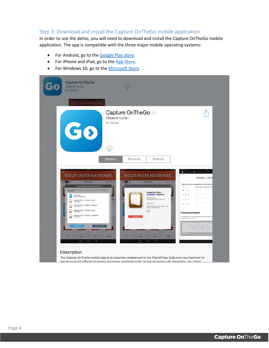#### <span id="page-5-0"></span>Step 3: Download and install the Capture OnTheGo mobile application

In order to use the demo, you will need to download and install the Capture OnTheGo mobile application. The app is compatible with the three major mobile operating systems:

- For Android, go to the [Google Play store.](https://play.google.com/store/apps/details?id=com.objectiflune.captureonthego)
- For iPhone and iPad, go to the [App Store.](https://itunes.apple.com/ca/app/objectif-lune/id896846284?mt=8)
- For Windows 10, go to th[e Microsoft Store.](https://www.microsoft.com/en-ca/store/apps/capture-onthego/9nblggh68xfb)

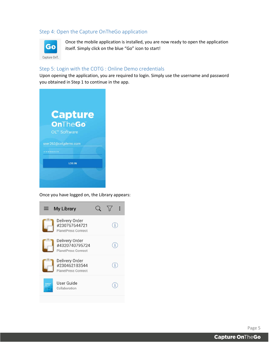#### Step 4: Open the Capture OnTheGo application



Once the mobile application is installed, you are now ready to open the application itself. Simply click on the blue "Go" icon to start!

#### <span id="page-6-0"></span>Step 5: Login with the COTG : Online Demo credentials

Upon opening the application, you are required to login. Simply use the username and password you obtained in Step 1 to continue in the app.



Once you have logged on, the Library appears:



Page 5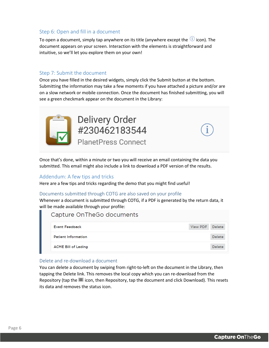#### <span id="page-7-0"></span>Step 6: Open and fill in a document

To open a document, simply tap anywhere on its title (anywhere except the  $(i)$  icon). The document appears on your screen. Interaction with the elements is straightforward and intuitive, so we'll let you explore them on your own!

#### <span id="page-7-1"></span>Step 7: Submit the document

Once you have filled in the desired widgets, simply click the Submit button at the bottom. Submitting the information may take a few moments if you have attached a picture and/or are on a slow network or mobile connection. Once the document has finished submitting, you will see a green checkmark appear on the document in the Library:



**Delivery Order** #230462183544

**PlanetPress Connect** 

Once that's done, within a minute or two you will receive an email containing the data you submitted. This email might also include a link to download a PDF version of the results.

#### <span id="page-7-2"></span>Addendum: A few tips and tricks

Here are a few tips and tricks regarding the demo that you might find useful!

#### Documents submitted through COTG are also saved on your profile

Whenever a document is submitted through COTG, if a PDF is generated by the return data, it will be made available through your profile:

#### Capture OnTheGo documents **Event Feedback View PDF** Delete **Patient Information** Delete **ACME Bill of Lading** Delete

#### <span id="page-7-3"></span>Delete and re-download a document

You can delete a document by swiping from right-to-left on the document in the Library, then tapping the Delete link. This removes the local copy which you can re-download from the Repository (tap the  $\equiv$  icon, then Repository, tap the document and click Download). This resets its data and removes the status icon.